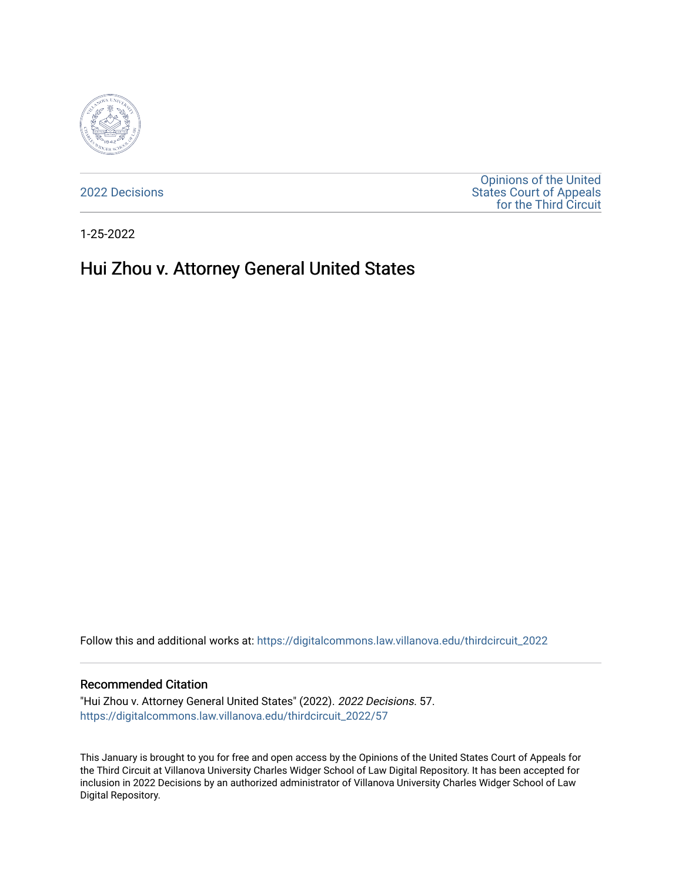

[2022 Decisions](https://digitalcommons.law.villanova.edu/thirdcircuit_2022)

[Opinions of the United](https://digitalcommons.law.villanova.edu/thirdcircuit)  [States Court of Appeals](https://digitalcommons.law.villanova.edu/thirdcircuit)  [for the Third Circuit](https://digitalcommons.law.villanova.edu/thirdcircuit) 

1-25-2022

# Hui Zhou v. Attorney General United States

Follow this and additional works at: [https://digitalcommons.law.villanova.edu/thirdcircuit\\_2022](https://digitalcommons.law.villanova.edu/thirdcircuit_2022?utm_source=digitalcommons.law.villanova.edu%2Fthirdcircuit_2022%2F57&utm_medium=PDF&utm_campaign=PDFCoverPages) 

#### Recommended Citation

"Hui Zhou v. Attorney General United States" (2022). 2022 Decisions. 57. [https://digitalcommons.law.villanova.edu/thirdcircuit\\_2022/57](https://digitalcommons.law.villanova.edu/thirdcircuit_2022/57?utm_source=digitalcommons.law.villanova.edu%2Fthirdcircuit_2022%2F57&utm_medium=PDF&utm_campaign=PDFCoverPages)

This January is brought to you for free and open access by the Opinions of the United States Court of Appeals for the Third Circuit at Villanova University Charles Widger School of Law Digital Repository. It has been accepted for inclusion in 2022 Decisions by an authorized administrator of Villanova University Charles Widger School of Law Digital Repository.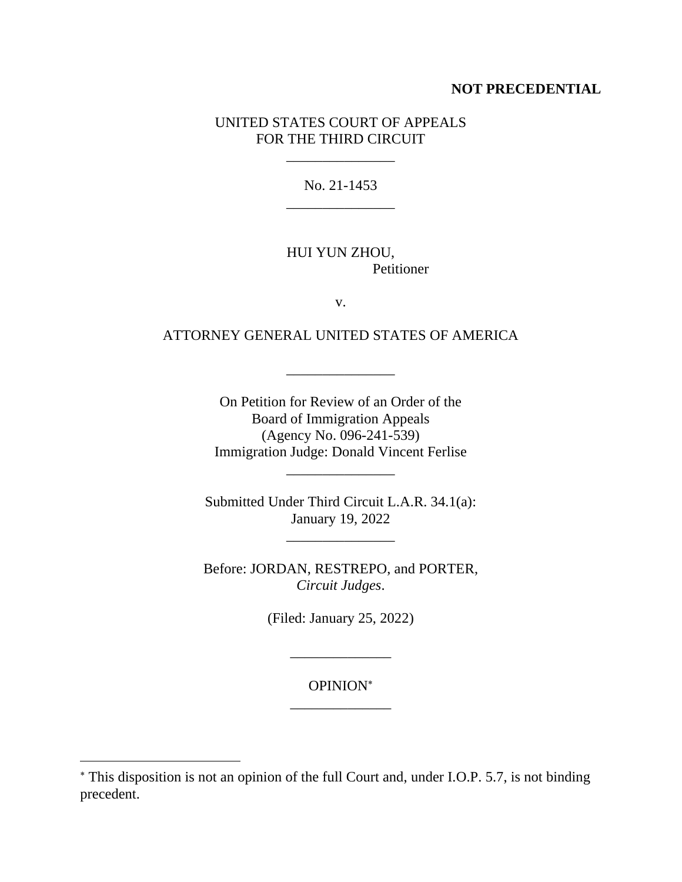## **NOT PRECEDENTIAL**

## UNITED STATES COURT OF APPEALS FOR THE THIRD CIRCUIT

\_\_\_\_\_\_\_\_\_\_\_\_\_\_\_

No. 21-1453 \_\_\_\_\_\_\_\_\_\_\_\_\_\_\_

## HUI YUN ZHOU, Petitioner

v.

## ATTORNEY GENERAL UNITED STATES OF AMERICA

\_\_\_\_\_\_\_\_\_\_\_\_\_\_\_

On Petition for Review of an Order of the Board of Immigration Appeals (Agency No. 096-241-539) Immigration Judge: Donald Vincent Ferlise

Submitted Under Third Circuit L.A.R. 34.1(a): January 19, 2022

\_\_\_\_\_\_\_\_\_\_\_\_\_\_\_

\_\_\_\_\_\_\_\_\_\_\_\_\_\_\_

Before: JORDAN, RESTREPO, and PORTER, *Circuit Judges*.

(Filed: January 25, 2022)

\_\_\_\_\_\_\_\_\_\_\_\_\_\_

OPINION \_\_\_\_\_\_\_\_\_\_\_\_\_\_

This disposition is not an opinion of the full Court and, under I.O.P. 5.7, is not binding precedent.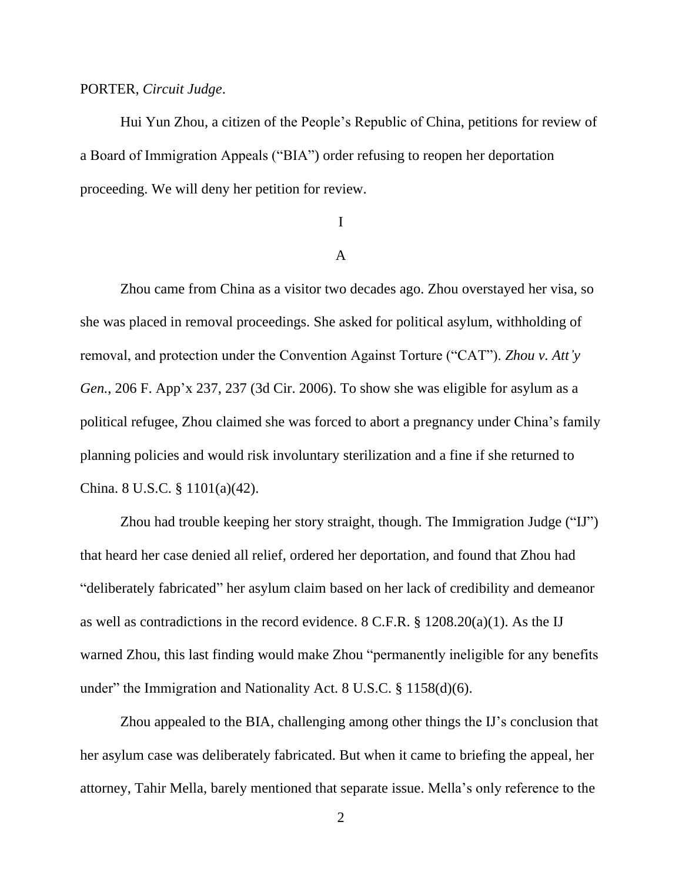### PORTER, *Circuit Judge*.

Hui Yun Zhou, a citizen of the People's Republic of China, petitions for review of a Board of Immigration Appeals ("BIA") order refusing to reopen her deportation proceeding. We will deny her petition for review.

## I

## A

Zhou came from China as a visitor two decades ago. Zhou overstayed her visa, so she was placed in removal proceedings. She asked for political asylum, withholding of removal, and protection under the Convention Against Torture ("CAT"). *Zhou v. Att'y Gen.*, 206 F. App'x 237, 237 (3d Cir. 2006). To show she was eligible for asylum as a political refugee, Zhou claimed she was forced to abort a pregnancy under China's family planning policies and would risk involuntary sterilization and a fine if she returned to China. 8 U.S.C. § 1101(a)(42).

Zhou had trouble keeping her story straight, though. The Immigration Judge ("IJ") that heard her case denied all relief, ordered her deportation, and found that Zhou had "deliberately fabricated" her asylum claim based on her lack of credibility and demeanor as well as contradictions in the record evidence. 8 C.F.R. § 1208.20(a)(1). As the IJ warned Zhou, this last finding would make Zhou "permanently ineligible for any benefits under" the Immigration and Nationality Act. 8 U.S.C. § 1158(d)(6).

Zhou appealed to the BIA, challenging among other things the IJ's conclusion that her asylum case was deliberately fabricated. But when it came to briefing the appeal, her attorney, Tahir Mella, barely mentioned that separate issue. Mella's only reference to the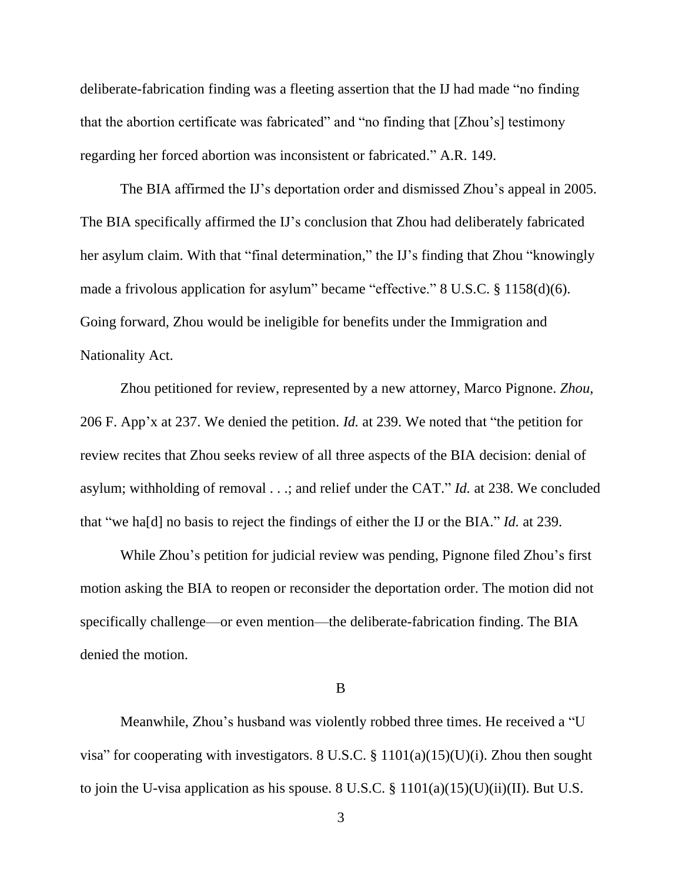deliberate-fabrication finding was a fleeting assertion that the IJ had made "no finding that the abortion certificate was fabricated" and "no finding that [Zhou's] testimony regarding her forced abortion was inconsistent or fabricated." A.R. 149.

The BIA affirmed the IJ's deportation order and dismissed Zhou's appeal in 2005. The BIA specifically affirmed the IJ's conclusion that Zhou had deliberately fabricated her asylum claim. With that "final determination," the IJ's finding that Zhou "knowingly made a frivolous application for asylum" became "effective." 8 U.S.C. § 1158(d)(6). Going forward, Zhou would be ineligible for benefits under the Immigration and Nationality Act.

Zhou petitioned for review, represented by a new attorney, Marco Pignone. *Zhou*, 206 F. App'x at 237. We denied the petition. *Id.* at 239. We noted that "the petition for review recites that Zhou seeks review of all three aspects of the BIA decision: denial of asylum; withholding of removal . . .; and relief under the CAT." *Id.* at 238. We concluded that "we ha[d] no basis to reject the findings of either the IJ or the BIA." *Id.* at 239.

While Zhou's petition for judicial review was pending, Pignone filed Zhou's first motion asking the BIA to reopen or reconsider the deportation order. The motion did not specifically challenge—or even mention—the deliberate-fabrication finding. The BIA denied the motion.

### B

Meanwhile, Zhou's husband was violently robbed three times. He received a "U visa" for cooperating with investigators. 8 U.S.C.  $\S$  1101(a)(15)(U)(i). Zhou then sought to join the U-visa application as his spouse. 8 U.S.C.  $\S$  1101(a)(15)(U)(ii)(II). But U.S.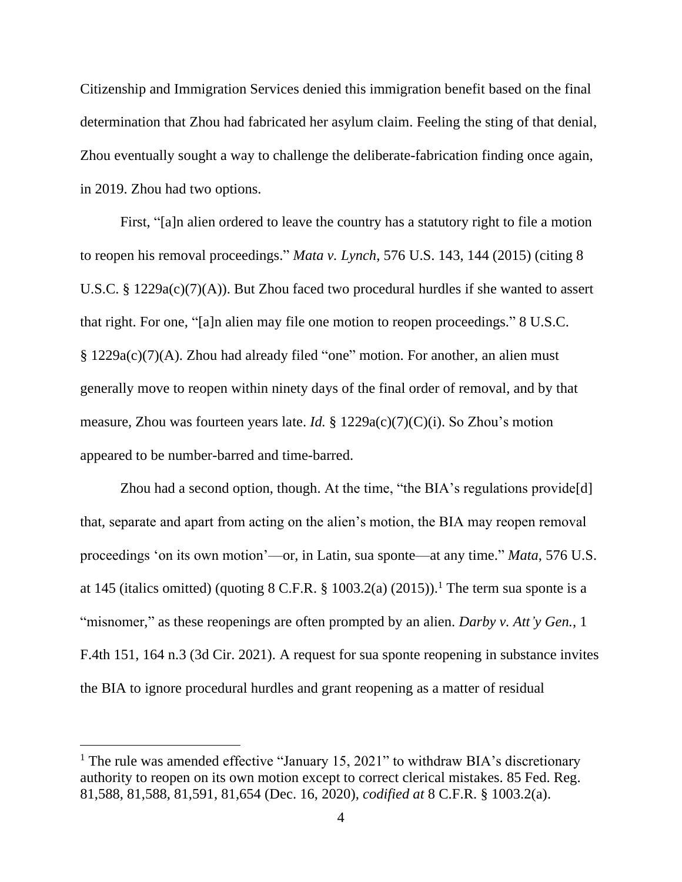Citizenship and Immigration Services denied this immigration benefit based on the final determination that Zhou had fabricated her asylum claim. Feeling the sting of that denial, Zhou eventually sought a way to challenge the deliberate-fabrication finding once again, in 2019. Zhou had two options.

First, "[a]n alien ordered to leave the country has a statutory right to file a motion to reopen his removal proceedings." *Mata v. Lynch*, 576 U.S. 143, 144 (2015) (citing 8 U.S.C. § 1229a(c)(7)(A)). But Zhou faced two procedural hurdles if she wanted to assert that right. For one, "[a]n alien may file one motion to reopen proceedings." 8 U.S.C. § 1229a(c)(7)(A). Zhou had already filed "one" motion. For another, an alien must generally move to reopen within ninety days of the final order of removal, and by that measure, Zhou was fourteen years late. *Id.* § 1229a(c)(7)(C)(i). So Zhou's motion appeared to be number-barred and time-barred.

Zhou had a second option, though. At the time, "the BIA's regulations provide[d] that, separate and apart from acting on the alien's motion, the BIA may reopen removal proceedings 'on its own motion'—or, in Latin, sua sponte—at any time." *Mata*, 576 U.S. at 145 (italics omitted) (quoting  $8 \text{ C.F.R. }$  \$ 1003.2(a) (2015)).<sup>1</sup> The term sua sponte is a "misnomer," as these reopenings are often prompted by an alien. *Darby v. Att'y Gen.*, 1 F.4th 151, 164 n.3 (3d Cir. 2021). A request for sua sponte reopening in substance invites the BIA to ignore procedural hurdles and grant reopening as a matter of residual

<sup>&</sup>lt;sup>1</sup> The rule was amended effective "January 15, 2021" to withdraw BIA's discretionary authority to reopen on its own motion except to correct clerical mistakes. 85 Fed. Reg. 81,588, 81,588, 81,591, 81,654 (Dec. 16, 2020), *codified at* 8 C.F.R. § 1003.2(a).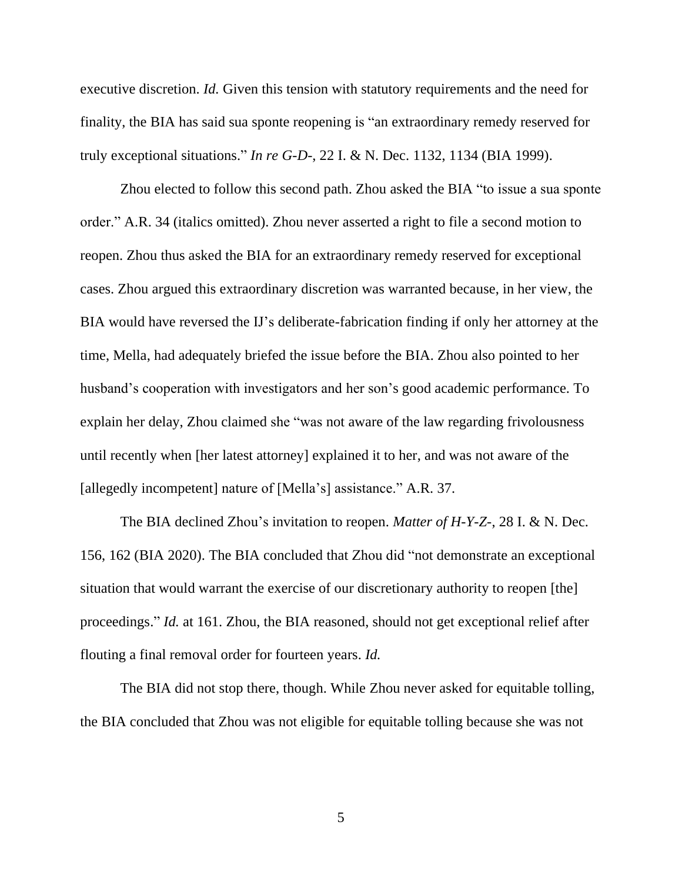executive discretion. *Id.* Given this tension with statutory requirements and the need for finality, the BIA has said sua sponte reopening is "an extraordinary remedy reserved for truly exceptional situations." *In re G-D-*, 22 I. & N. Dec. 1132, 1134 (BIA 1999).

Zhou elected to follow this second path. Zhou asked the BIA "to issue a sua sponte order." A.R. 34 (italics omitted). Zhou never asserted a right to file a second motion to reopen. Zhou thus asked the BIA for an extraordinary remedy reserved for exceptional cases. Zhou argued this extraordinary discretion was warranted because, in her view, the BIA would have reversed the IJ's deliberate-fabrication finding if only her attorney at the time, Mella, had adequately briefed the issue before the BIA. Zhou also pointed to her husband's cooperation with investigators and her son's good academic performance. To explain her delay, Zhou claimed she "was not aware of the law regarding frivolousness until recently when [her latest attorney] explained it to her, and was not aware of the [allegedly incompetent] nature of [Mella's] assistance." A.R. 37.

The BIA declined Zhou's invitation to reopen. *Matter of H-Y-Z-*, 28 I. & N. Dec. 156, 162 (BIA 2020). The BIA concluded that Zhou did "not demonstrate an exceptional situation that would warrant the exercise of our discretionary authority to reopen [the] proceedings." *Id.* at 161. Zhou, the BIA reasoned, should not get exceptional relief after flouting a final removal order for fourteen years. *Id.*

The BIA did not stop there, though. While Zhou never asked for equitable tolling, the BIA concluded that Zhou was not eligible for equitable tolling because she was not

5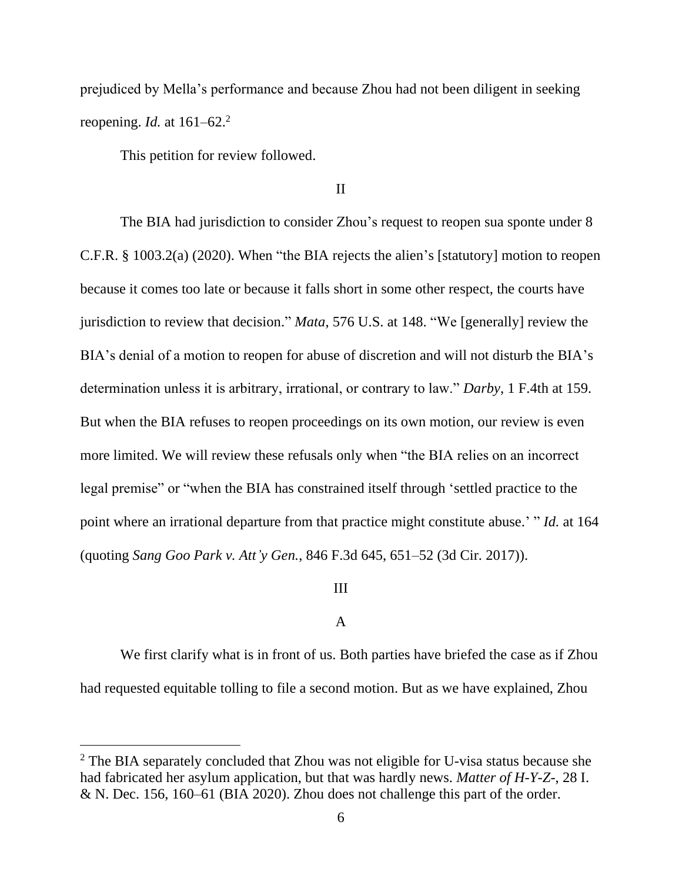prejudiced by Mella's performance and because Zhou had not been diligent in seeking reopening. *Id.* at 161–62.<sup>2</sup>

This petition for review followed.

### II

The BIA had jurisdiction to consider Zhou's request to reopen sua sponte under 8 C.F.R. § 1003.2(a) (2020). When "the BIA rejects the alien's [statutory] motion to reopen because it comes too late or because it falls short in some other respect, the courts have jurisdiction to review that decision." *Mata*, 576 U.S. at 148. "We [generally] review the BIA's denial of a motion to reopen for abuse of discretion and will not disturb the BIA's determination unless it is arbitrary, irrational, or contrary to law." *Darby*, 1 F.4th at 159. But when the BIA refuses to reopen proceedings on its own motion, our review is even more limited. We will review these refusals only when "the BIA relies on an incorrect legal premise" or "when the BIA has constrained itself through 'settled practice to the point where an irrational departure from that practice might constitute abuse.' " *Id.* at 164 (quoting *Sang Goo Park v. Att'y Gen.*, 846 F.3d 645, 651–52 (3d Cir. 2017)).

## III

### A

We first clarify what is in front of us. Both parties have briefed the case as if Zhou had requested equitable tolling to file a second motion. But as we have explained, Zhou

<sup>&</sup>lt;sup>2</sup> The BIA separately concluded that Zhou was not eligible for U-visa status because she had fabricated her asylum application, but that was hardly news. *Matter of H-Y-Z-*, 28 I. & N. Dec. 156, 160–61 (BIA 2020). Zhou does not challenge this part of the order.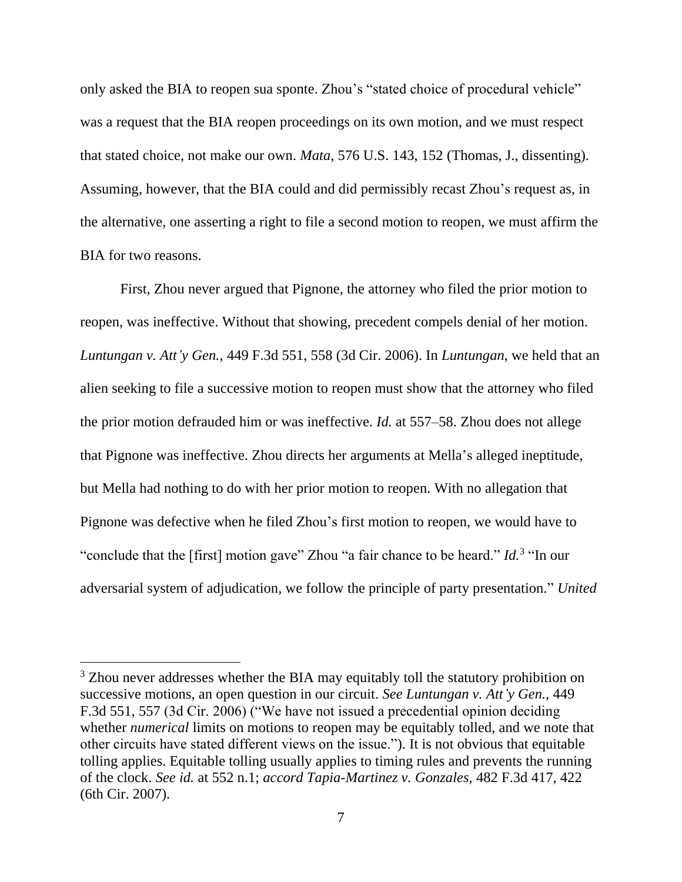only asked the BIA to reopen sua sponte. Zhou's "stated choice of procedural vehicle" was a request that the BIA reopen proceedings on its own motion, and we must respect that stated choice, not make our own. *Mata*, 576 U.S. 143, 152 (Thomas, J., dissenting). Assuming, however, that the BIA could and did permissibly recast Zhou's request as, in the alternative, one asserting a right to file a second motion to reopen, we must affirm the BIA for two reasons.

First, Zhou never argued that Pignone, the attorney who filed the prior motion to reopen, was ineffective. Without that showing, precedent compels denial of her motion. *Luntungan v. Att'y Gen.*, 449 F.3d 551, 558 (3d Cir. 2006). In *Luntungan*, we held that an alien seeking to file a successive motion to reopen must show that the attorney who filed the prior motion defrauded him or was ineffective. *Id.* at 557–58. Zhou does not allege that Pignone was ineffective. Zhou directs her arguments at Mella's alleged ineptitude, but Mella had nothing to do with her prior motion to reopen. With no allegation that Pignone was defective when he filed Zhou's first motion to reopen, we would have to "conclude that the [first] motion gave" Zhou "a fair chance to be heard." *Id.*<sup>3</sup> "In our adversarial system of adjudication, we follow the principle of party presentation." *United* 

<sup>&</sup>lt;sup>3</sup> Zhou never addresses whether the BIA may equitably toll the statutory prohibition on successive motions, an open question in our circuit. *See Luntungan v. Att'y Gen.*, 449 F.3d 551, 557 (3d Cir. 2006) ("We have not issued a precedential opinion deciding whether *numerical* limits on motions to reopen may be equitably tolled, and we note that other circuits have stated different views on the issue."). It is not obvious that equitable tolling applies. Equitable tolling usually applies to timing rules and prevents the running of the clock. *See id.* at 552 n.1; *accord Tapia-Martinez v. Gonzales*, 482 F.3d 417, 422 (6th Cir. 2007).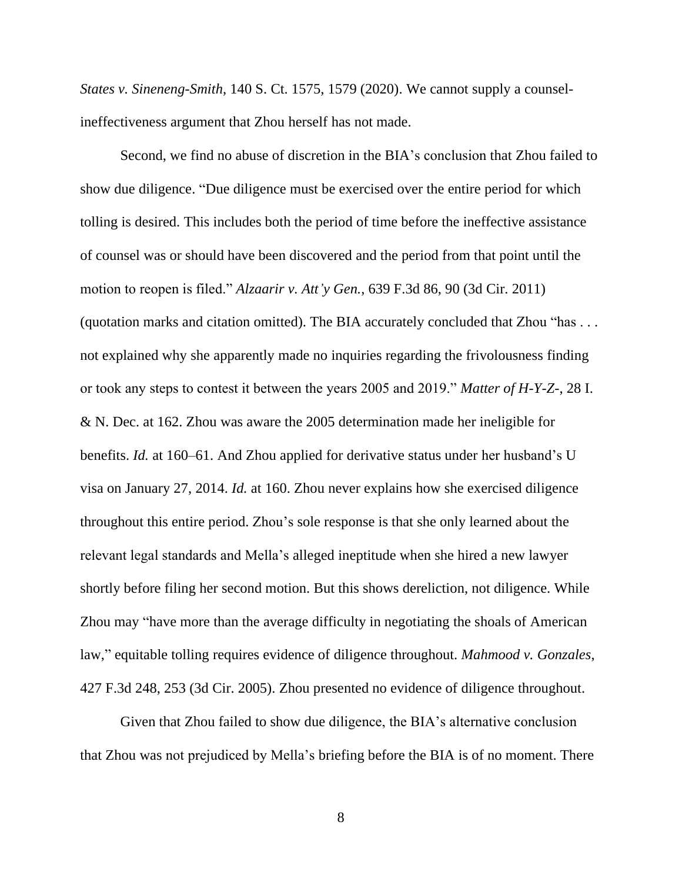*States v. Sineneng-Smith*, 140 S. Ct. 1575, 1579 (2020). We cannot supply a counselineffectiveness argument that Zhou herself has not made.

Second, we find no abuse of discretion in the BIA's conclusion that Zhou failed to show due diligence. "Due diligence must be exercised over the entire period for which tolling is desired. This includes both the period of time before the ineffective assistance of counsel was or should have been discovered and the period from that point until the motion to reopen is filed." *Alzaarir v. Att'y Gen.*, 639 F.3d 86, 90 (3d Cir. 2011) (quotation marks and citation omitted). The BIA accurately concluded that Zhou "has . . . not explained why she apparently made no inquiries regarding the frivolousness finding or took any steps to contest it between the years 2005 and 2019." *Matter of H-Y-Z-*, 28 I. & N. Dec. at 162. Zhou was aware the 2005 determination made her ineligible for benefits. *Id.* at 160–61. And Zhou applied for derivative status under her husband's U visa on January 27, 2014. *Id.* at 160. Zhou never explains how she exercised diligence throughout this entire period. Zhou's sole response is that she only learned about the relevant legal standards and Mella's alleged ineptitude when she hired a new lawyer shortly before filing her second motion. But this shows dereliction, not diligence. While Zhou may "have more than the average difficulty in negotiating the shoals of American law," equitable tolling requires evidence of diligence throughout. *Mahmood v. Gonzales*, 427 F.3d 248, 253 (3d Cir. 2005). Zhou presented no evidence of diligence throughout.

Given that Zhou failed to show due diligence, the BIA's alternative conclusion that Zhou was not prejudiced by Mella's briefing before the BIA is of no moment. There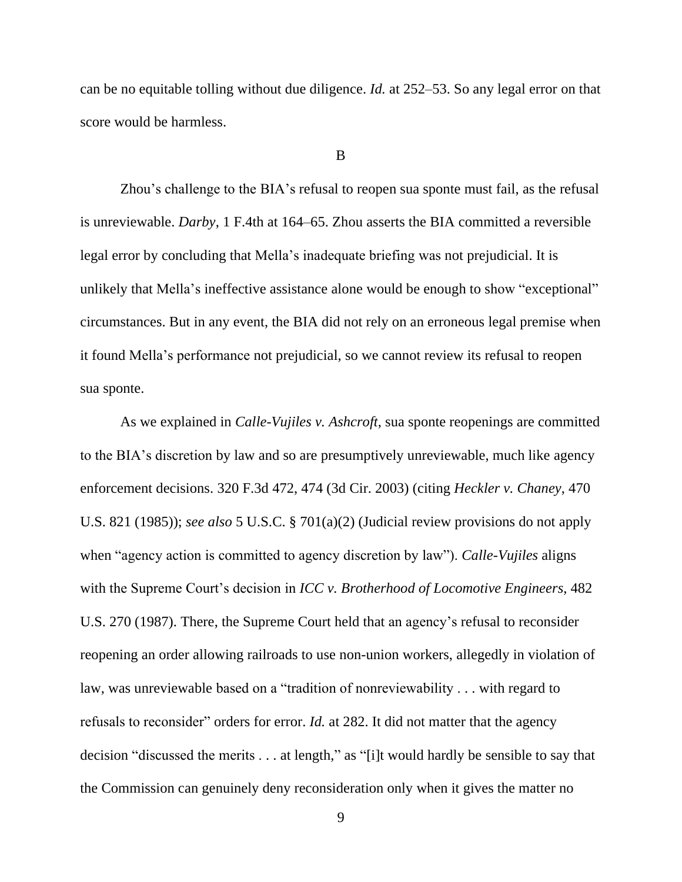can be no equitable tolling without due diligence. *Id.* at 252–53. So any legal error on that score would be harmless.

### B

Zhou's challenge to the BIA's refusal to reopen sua sponte must fail, as the refusal is unreviewable. *Darby*, 1 F.4th at 164–65. Zhou asserts the BIA committed a reversible legal error by concluding that Mella's inadequate briefing was not prejudicial. It is unlikely that Mella's ineffective assistance alone would be enough to show "exceptional" circumstances. But in any event, the BIA did not rely on an erroneous legal premise when it found Mella's performance not prejudicial, so we cannot review its refusal to reopen sua sponte.

As we explained in *Calle-Vujiles v. Ashcroft*, sua sponte reopenings are committed to the BIA's discretion by law and so are presumptively unreviewable, much like agency enforcement decisions. 320 F.3d 472, 474 (3d Cir. 2003) (citing *Heckler v. Chaney*, 470 U.S. 821 (1985)); *see also* 5 U.S.C. § 701(a)(2) (Judicial review provisions do not apply when "agency action is committed to agency discretion by law"). *Calle-Vujiles* aligns with the Supreme Court's decision in *ICC v. Brotherhood of Locomotive Engineers*, 482 U.S. 270 (1987). There, the Supreme Court held that an agency's refusal to reconsider reopening an order allowing railroads to use non-union workers, allegedly in violation of law, was unreviewable based on a "tradition of nonreviewability . . . with regard to refusals to reconsider" orders for error. *Id.* at 282. It did not matter that the agency decision "discussed the merits . . . at length," as "[i]t would hardly be sensible to say that the Commission can genuinely deny reconsideration only when it gives the matter no